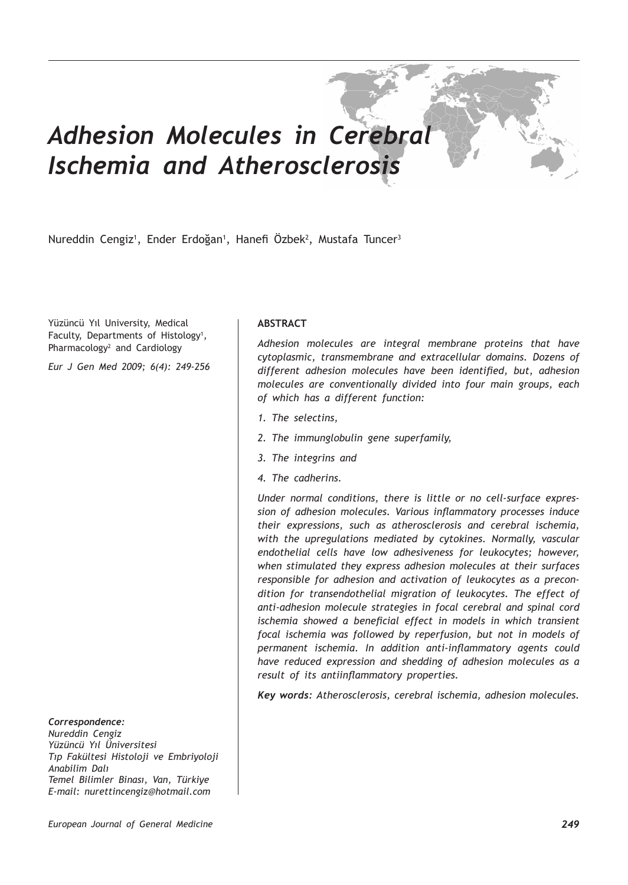# *Adhesion Molecules in Cerebral Ischemia and Atherosclerosis*

Nureddin Cengiz<sup>1</sup>, Ender Erdoğan<sup>1</sup>, Hanefi Ozbek<sup>2</sup>, Mustafa Tuncer<sup>3</sup>

Yüzüncü Yıl University, Medical Faculty, Departments of Histology<sup>1</sup>, Pharmacology<sup>2</sup> and Cardiology

*Eur J Gen Med 2009; 6(4): 249-256*

# *Correspondence:*

*Nureddin Cengiz Yüzüncü Yıl Üniversitesi Tıp Fakültesi Histoloji ve Embriyoloji Anabilim Dalı Temel Bilimler Binası, Van, Türkiye E-mail: nurettincengiz@hotmail.com*

## **ABSTRACT**

*Adhesion molecules are integral membrane proteins that have cytoplasmic, transmembrane and extracellular domains. Dozens of different adhesion molecules have been identified, but, adhesion molecules are conventionally divided into four main groups, each of which has a different function:*

- *1. The selectins,*
- *2. The immunglobulin gene superfamily,*
- *3. The integrins and*
- *4. The cadherins.*

*Under normal conditions, there is little or no cell-surface expression of adhesion molecules. Various inflammatory processes induce their expressions, such as atherosclerosis and cerebral ischemia, with the upregulations mediated by cytokines. Normally, vascular endothelial cells have low adhesiveness for leukocytes; however, when stimulated they express adhesion molecules at their surfaces responsible for adhesion and activation of leukocytes as a precondition for transendothelial migration of leukocytes. The effect of anti-adhesion molecule strategies in focal cerebral and spinal cord ischemia showed a beneficial effect in models in which transient focal ischemia was followed by reperfusion, but not in models of permanent ischemia. In addition anti-inflammatory agents could have reduced expression and shedding of adhesion molecules as a result of its antiinflammatory properties.*

*Key words: Atherosclerosis, cerebral ischemia, adhesion molecules.*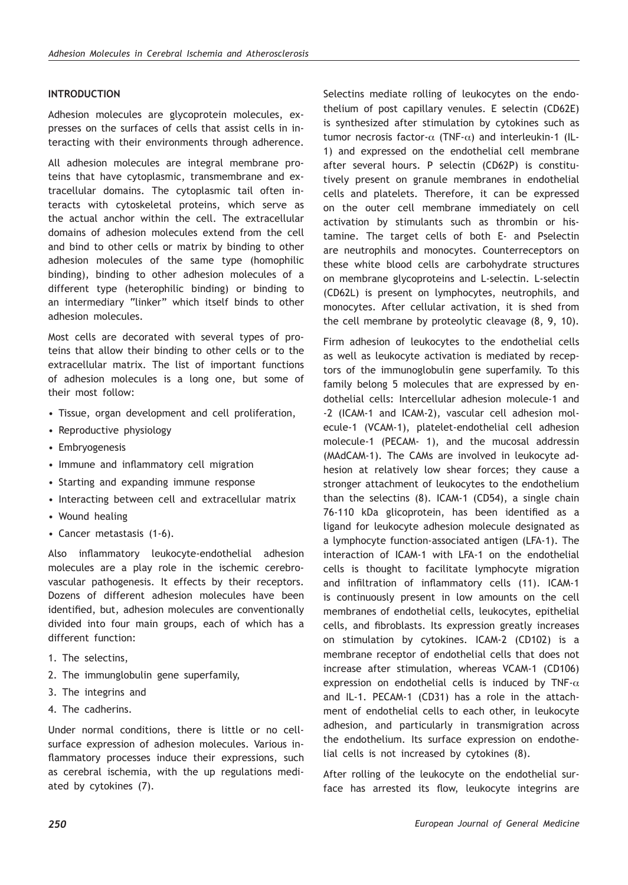## **INTRODUCTION**

Adhesion molecules are glycoprotein molecules, expresses on the surfaces of cells that assist cells in interacting with their environments through adherence.

All adhesion molecules are integral membrane proteins that have cytoplasmic, transmembrane and extracellular domains. The cytoplasmic tail often interacts with cytoskeletal proteins, which serve as the actual anchor within the cell. The extracellular domains of adhesion molecules extend from the cell and bind to other cells or matrix by binding to other adhesion molecules of the same type (homophilic binding), binding to other adhesion molecules of a different type (heterophilic binding) or binding to an intermediary "linker" which itself binds to other adhesion molecules.

Most cells are decorated with several types of proteins that allow their binding to other cells or to the extracellular matrix. The list of important functions of adhesion molecules is a long one, but some of their most follow:

- Tissue, organ development and cell proliferation,
- Reproductive physiology
- Embryogenesis
- Immune and inflammatory cell migration
- Starting and expanding immune response
- Interacting between cell and extracellular matrix
- Wound healing
- Cancer metastasis (1-6).

Also inflammatory leukocyte-endothelial adhesion molecules are a play role in the ischemic cerebrovascular pathogenesis. It effects by their receptors. Dozens of different adhesion molecules have been identified, but, adhesion molecules are conventionally divided into four main groups, each of which has a different function:

- 1. The selectins,
- 2. The immunglobulin gene superfamily,
- 3. The integrins and
- 4. The cadherins.

Under normal conditions, there is little or no cellsurface expression of adhesion molecules. Various inflammatory processes induce their expressions, such as cerebral ischemia, with the up regulations mediated by cytokines (7).

Selectins mediate rolling of leukocytes on the endothelium of post capillary venules. E selectin (CD62E) is synthesized after stimulation by cytokines such as tumor necrosis factor- $\alpha$  (TNF- $\alpha$ ) and interleukin-1 (IL-1) and expressed on the endothelial cell membrane after several hours. P selectin (CD62P) is constitutively present on granule membranes in endothelial cells and platelets. Therefore, it can be expressed on the outer cell membrane immediately on cell activation by stimulants such as thrombin or histamine. The target cells of both E- and Pselectin are neutrophils and monocytes. Counterreceptors on these white blood cells are carbohydrate structures on membrane glycoproteins and L-selectin. L-selectin (CD62L) is present on lymphocytes, neutrophils, and monocytes. After cellular activation, it is shed from the cell membrane by proteolytic cleavage (8, 9, 10).

Firm adhesion of leukocytes to the endothelial cells as well as leukocyte activation is mediated by receptors of the immunoglobulin gene superfamily. To this family belong 5 molecules that are expressed by endothelial cells: Intercellular adhesion molecule-1 and -2 (ICAM-1 and ICAM-2), vascular cell adhesion molecule-1 (VCAM-1), platelet-endothelial cell adhesion molecule-1 (PECAM- 1), and the mucosal addressin (MAdCAM-1). The CAMs are involved in leukocyte adhesion at relatively low shear forces; they cause a stronger attachment of leukocytes to the endothelium than the selectins (8). ICAM-1 (CD54), a single chain 76-110 kDa glicoprotein, has been identified as a ligand for leukocyte adhesion molecule designated as a lymphocyte function-associated antigen (LFA-1). The interaction of ICAM-1 with LFA-1 on the endothelial cells is thought to facilitate lymphocyte migration and infiltration of inflammatory cells (11). ICAM-1 is continuously present in low amounts on the cell membranes of endothelial cells, leukocytes, epithelial cells, and fibroblasts. Its expression greatly increases on stimulation by cytokines. ICAM-2 (CD102) is a membrane receptor of endothelial cells that does not increase after stimulation, whereas VCAM-1 (CD106) expression on endothelial cells is induced by TNF- $\alpha$ and IL-1. PECAM-1 (CD31) has a role in the attachment of endothelial cells to each other, in leukocyte adhesion, and particularly in transmigration across the endothelium. Its surface expression on endothelial cells is not increased by cytokines (8).

After rolling of the leukocyte on the endothelial surface has arrested its flow, leukocyte integrins are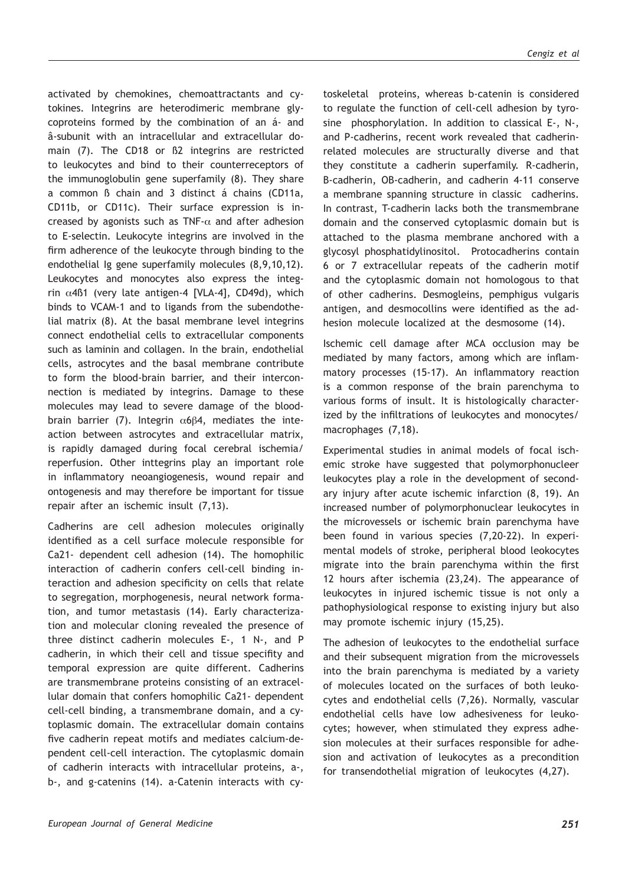activated by chemokines, chemoattractants and cytokines. Integrins are heterodimeric membrane glycoproteins formed by the combination of an á- and â-subunit with an intracellular and extracellular domain (7). The CD18 or ß2 integrins are restricted to leukocytes and bind to their counterreceptors of the immunoglobulin gene superfamily (8). They share a common ß chain and 3 distinct á chains (CD11a, CD11b, or CD11c). Their surface expression is increased by agonists such as TNF- $\alpha$  and after adhesion to E-selectin. Leukocyte integrins are involved in the firm adherence of the leukocyte through binding to the endothelial Ig gene superfamily molecules (8,9,10,12). Leukocytes and monocytes also express the integrin α4ß1 (very late antigen-4 [VLA-4], CD49d), which binds to VCAM-1 and to ligands from the subendothelial matrix (8). At the basal membrane level integrins connect endothelial cells to extracellular components such as laminin and collagen. In the brain, endothelial cells, astrocytes and the basal membrane contribute to form the blood-brain barrier, and their interconnection is mediated by integrins. Damage to these molecules may lead to severe damage of the bloodbrain barrier (7). Integrin  $α6β4$ , mediates the inteaction between astrocytes and extracellular matrix, is rapidly damaged during focal cerebral ischemia/ reperfusion. Other inttegrins play an important role in inflammatory neoangiogenesis, wound repair and ontogenesis and may therefore be important for tissue repair after an ischemic insult (7,13).

Cadherins are cell adhesion molecules originally identified as a cell surface molecule responsible for Ca21- dependent cell adhesion (14). The homophilic interaction of cadherin confers cell-cell binding interaction and adhesion specificity on cells that relate to segregation, morphogenesis, neural network formation, and tumor metastasis (14). Early characterization and molecular cloning revealed the presence of three distinct cadherin molecules E-, 1 N-, and P cadherin, in which their cell and tissue specifity and temporal expression are quite different. Cadherins are transmembrane proteins consisting of an extracellular domain that confers homophilic Ca21- dependent cell-cell binding, a transmembrane domain, and a cytoplasmic domain. The extracellular domain contains five cadherin repeat motifs and mediates calcium-dependent cell-cell interaction. The cytoplasmic domain of cadherin interacts with intracellular proteins, a-, b-, and g-catenins (14). a-Catenin interacts with cytoskeletal proteins, whereas b-catenin is considered to regulate the function of cell-cell adhesion by tyrosine phosphorylation. In addition to classical E-, N-, and P-cadherins, recent work revealed that cadherinrelated molecules are structurally diverse and that they constitute a cadherin superfamily. R-cadherin, B-cadherin, OB-cadherin, and cadherin 4-11 conserve a membrane spanning structure in classic cadherins. In contrast, T-cadherin lacks both the transmembrane domain and the conserved cytoplasmic domain but is attached to the plasma membrane anchored with a glycosyl phosphatidylinositol. Protocadherins contain 6 or 7 extracellular repeats of the cadherin motif and the cytoplasmic domain not homologous to that of other cadherins. Desmogleins, pemphigus vulgaris antigen, and desmocollins were identified as the adhesion molecule localized at the desmosome (14).

Ischemic cell damage after MCA occlusion may be mediated by many factors, among which are inflammatory processes (15-17). An inflammatory reaction is a common response of the brain parenchyma to various forms of insult. It is histologically characterized by the infiltrations of leukocytes and monocytes/ macrophages (7,18).

Experimental studies in animal models of focal ischemic stroke have suggested that polymorphonucleer leukocytes play a role in the development of secondary injury after acute ischemic infarction (8, 19). An increased number of polymorphonuclear leukocytes in the microvessels or ischemic brain parenchyma have been found in various species (7,20-22). In experimental models of stroke, peripheral blood leokocytes migrate into the brain parenchyma within the first 12 hours after ischemia (23,24). The appearance of leukocytes in injured ischemic tissue is not only a pathophysiological response to existing injury but also may promote ischemic injury (15,25).

The adhesion of leukocytes to the endothelial surface and their subsequent migration from the microvessels into the brain parenchyma is mediated by a variety of molecules located on the surfaces of both leukocytes and endothelial cells (7,26). Normally, vascular endothelial cells have low adhesiveness for leukocytes; however, when stimulated they express adhesion molecules at their surfaces responsible for adhesion and activation of leukocytes as a precondition for transendothelial migration of leukocytes (4,27).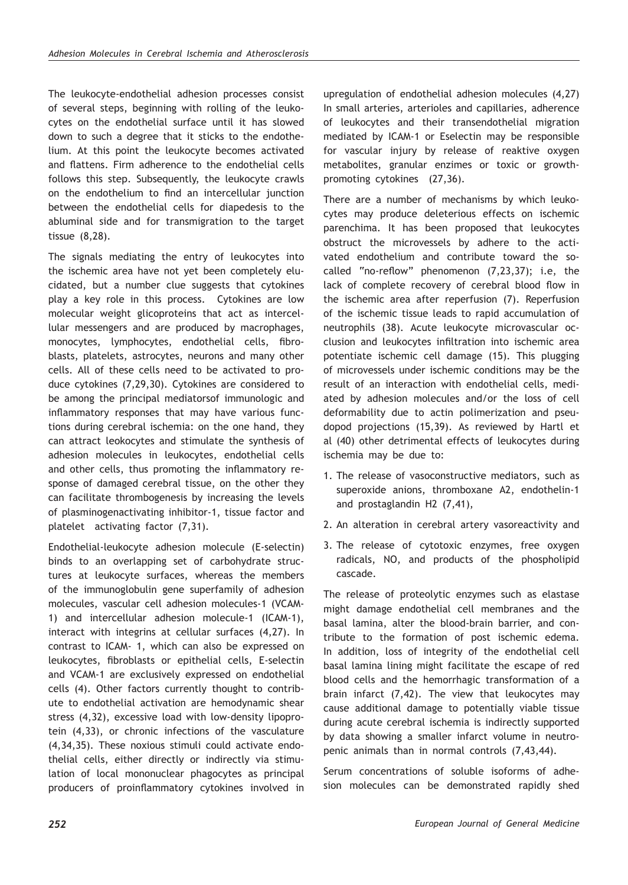The leukocyte-endothelial adhesion processes consist of several steps, beginning with rolling of the leukocytes on the endothelial surface until it has slowed down to such a degree that it sticks to the endothelium. At this point the leukocyte becomes activated and flattens. Firm adherence to the endothelial cells follows this step. Subsequently, the leukocyte crawls on the endothelium to find an intercellular junction between the endothelial cells for diapedesis to the abluminal side and for transmigration to the target tissue (8,28).

The signals mediating the entry of leukocytes into the ischemic area have not yet been completely elucidated, but a number clue suggests that cytokines play a key role in this process. Cytokines are low molecular weight glicoproteins that act as intercellular messengers and are produced by macrophages, monocytes, lymphocytes, endothelial cells, fibroblasts, platelets, astrocytes, neurons and many other cells. All of these cells need to be activated to produce cytokines (7,29,30). Cytokines are considered to be among the principal mediatorsof immunologic and inflammatory responses that may have various functions during cerebral ischemia: on the one hand, they can attract leokocytes and stimulate the synthesis of adhesion molecules in leukocytes, endothelial cells and other cells, thus promoting the inflammatory response of damaged cerebral tissue, on the other they can facilitate thrombogenesis by increasing the levels of plasminogenactivating inhibitor-1, tissue factor and platelet activating factor (7,31).

Endothelial-leukocyte adhesion molecule (E-selectin) binds to an overlapping set of carbohydrate structures at leukocyte surfaces, whereas the members of the immunoglobulin gene superfamily of adhesion molecules, vascular cell adhesion molecules-1 (VCAM-1) and intercellular adhesion molecule-1 (ICAM-1), interact with integrins at cellular surfaces (4,27). In contrast to ICAM- 1, which can also be expressed on leukocytes, fibroblasts or epithelial cells, E-selectin and VCAM-1 are exclusively expressed on endothelial cells (4). Other factors currently thought to contribute to endothelial activation are hemodynamic shear stress (4,32), excessive load with low-density lipoprotein (4,33), or chronic infections of the vasculature (4,34,35). These noxious stimuli could activate endothelial cells, either directly or indirectly via stimulation of local mononuclear phagocytes as principal producers of proinflammatory cytokines involved in

upregulation of endothelial adhesion molecules (4,27) In small arteries, arterioles and capillaries, adherence of leukocytes and their transendothelial migration mediated by ICAM-1 or Eselectin may be responsible for vascular injury by release of reaktive oxygen metabolites, granular enzimes or toxic or growthpromoting cytokines (27,36).

There are a number of mechanisms by which leukocytes may produce deleterious effects on ischemic parenchima. It has been proposed that leukocytes obstruct the microvessels by adhere to the activated endothelium and contribute toward the socalled "no-reflow" phenomenon (7,23,37); i.e, the lack of complete recovery of cerebral blood flow in the ischemic area after reperfusion (7). Reperfusion of the ischemic tissue leads to rapid accumulation of neutrophils (38). Acute leukocyte microvascular occlusion and leukocytes infiltration into ischemic area potentiate ischemic cell damage (15). This plugging of microvessels under ischemic conditions may be the result of an interaction with endothelial cells, mediated by adhesion molecules and/or the loss of cell deformability due to actin polimerization and pseudopod projections (15,39). As reviewed by Hartl et al (40) other detrimental effects of leukocytes during ischemia may be due to:

- 1. The release of vasoconstructive mediators, such as superoxide anions, thromboxane A2, endothelin-1 and prostaglandin H2 (7,41),
- 2. An alteration in cerebral artery vasoreactivity and
- 3. The release of cytotoxic enzymes, free oxygen radicals, NO, and products of the phospholipid cascade.

The release of proteolytic enzymes such as elastase might damage endothelial cell membranes and the basal lamina, alter the blood-brain barrier, and contribute to the formation of post ischemic edema. In addition, loss of integrity of the endothelial cell basal lamina lining might facilitate the escape of red blood cells and the hemorrhagic transformation of a brain infarct (7,42). The view that leukocytes may cause additional damage to potentially viable tissue during acute cerebral ischemia is indirectly supported by data showing a smaller infarct volume in neutropenic animals than in normal controls (7,43,44).

Serum concentrations of soluble isoforms of adhesion molecules can be demonstrated rapidly shed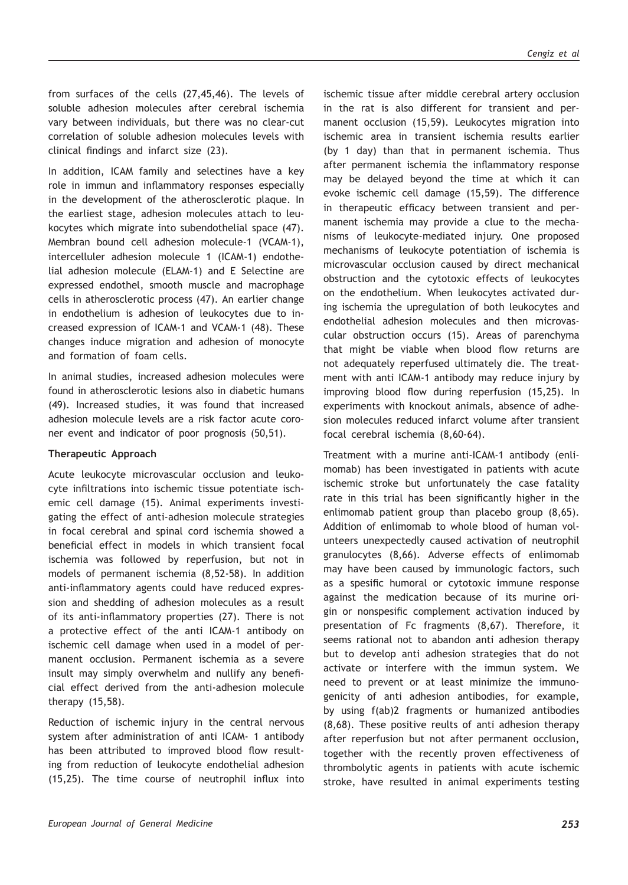from surfaces of the cells (27,45,46). The levels of soluble adhesion molecules after cerebral ischemia vary between individuals, but there was no clear-cut correlation of soluble adhesion molecules levels with clinical findings and infarct size (23).

In addition, ICAM family and selectines have a key role in immun and inflammatory responses especially in the development of the atherosclerotic plaque. In the earliest stage, adhesion molecules attach to leukocytes which migrate into subendothelial space (47). Membran bound cell adhesion molecule-1 (VCAM-1), intercelluler adhesion molecule 1 (ICAM-1) endothelial adhesion molecule (ELAM-1) and E Selectine are expressed endothel, smooth muscle and macrophage cells in atherosclerotic process (47). An earlier change in endothelium is adhesion of leukocytes due to increased expression of ICAM-1 and VCAM-1 (48). These changes induce migration and adhesion of monocyte and formation of foam cells.

In animal studies, increased adhesion molecules were found in atherosclerotic lesions also in diabetic humans (49). Increased studies, it was found that increased adhesion molecule levels are a risk factor acute coroner event and indicator of poor prognosis (50,51).

#### **Therapeutic Approach**

Acute leukocyte microvascular occlusion and leukocyte infiltrations into ischemic tissue potentiate ischemic cell damage (15). Animal experiments investigating the effect of anti-adhesion molecule strategies in focal cerebral and spinal cord ischemia showed a beneficial effect in models in which transient focal ischemia was followed by reperfusion, but not in models of permanent ischemia (8,52-58). In addition anti-inflammatory agents could have reduced expression and shedding of adhesion molecules as a result of its anti-inflammatory properties (27). There is not a protective effect of the anti ICAM-1 antibody on ischemic cell damage when used in a model of permanent occlusion. Permanent ischemia as a severe insult may simply overwhelm and nullify any beneficial effect derived from the anti-adhesion molecule therapy (15,58).

Reduction of ischemic injury in the central nervous system after administration of anti ICAM- 1 antibody has been attributed to improved blood flow resulting from reduction of leukocyte endothelial adhesion (15,25). The time course of neutrophil influx into

ischemic tissue after middle cerebral artery occlusion in the rat is also different for transient and permanent occlusion (15,59). Leukocytes migration into ischemic area in transient ischemia results earlier (by 1 day) than that in permanent ischemia. Thus after permanent ischemia the inflammatory response may be delayed beyond the time at which it can evoke ischemic cell damage (15,59). The difference in therapeutic efficacy between transient and permanent ischemia may provide a clue to the mechanisms of leukocyte-mediated injury. One proposed mechanisms of leukocyte potentiation of ischemia is microvascular occlusion caused by direct mechanical obstruction and the cytotoxic effects of leukocytes on the endothelium. When leukocytes activated during ischemia the upregulation of both leukocytes and endothelial adhesion molecules and then microvascular obstruction occurs (15). Areas of parenchyma that might be viable when blood flow returns are not adequately reperfused ultimately die. The treatment with anti ICAM-1 antibody may reduce injury by improving blood flow during reperfusion (15,25). In experiments with knockout animals, absence of adhesion molecules reduced infarct volume after transient focal cerebral ischemia (8,60-64).

Treatment with a murine anti-ICAM-1 antibody (enlimomab) has been investigated in patients with acute ischemic stroke but unfortunately the case fatality rate in this trial has been significantly higher in the enlimomab patient group than placebo group (8,65). Addition of enlimomab to whole blood of human volunteers unexpectedly caused activation of neutrophil granulocytes (8,66). Adverse effects of enlimomab may have been caused by immunologic factors, such as a spesific humoral or cytotoxic immune response against the medication because of its murine origin or nonspesific complement activation induced by presentation of Fc fragments (8,67). Therefore, it seems rational not to abandon anti adhesion therapy but to develop anti adhesion strategies that do not activate or interfere with the immun system. We need to prevent or at least minimize the immunogenicity of anti adhesion antibodies, for example, by using f(ab)2 fragments or humanized antibodies (8,68). These positive reults of anti adhesion therapy after reperfusion but not after permanent occlusion, together with the recently proven effectiveness of thrombolytic agents in patients with acute ischemic stroke, have resulted in animal experiments testing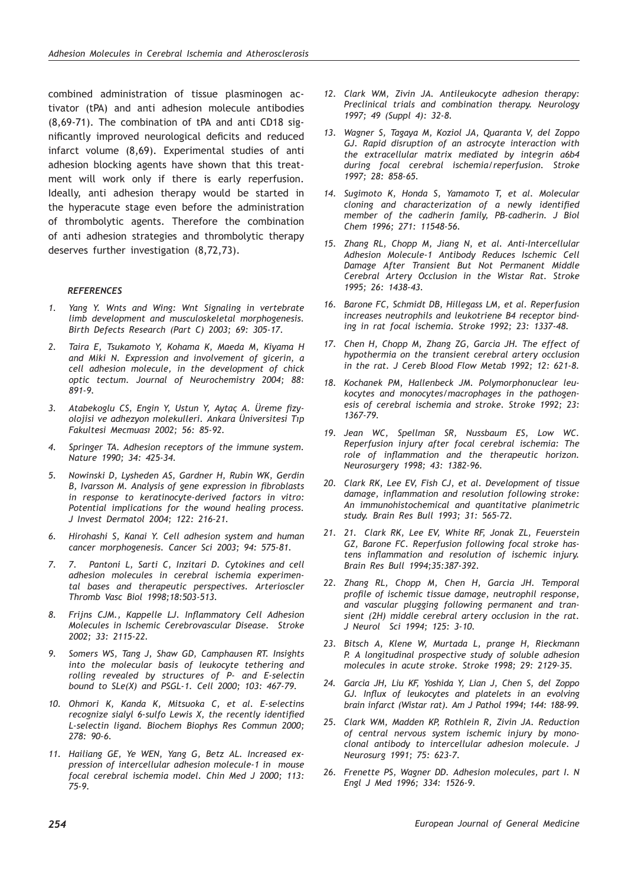combined administration of tissue plasminogen activator (tPA) and anti adhesion molecule antibodies (8,69-71). The combination of tPA and anti CD18 significantly improved neurological deficits and reduced infarct volume (8,69). Experimental studies of anti adhesion blocking agents have shown that this treatment will work only if there is early reperfusion. Ideally, anti adhesion therapy would be started in the hyperacute stage even before the administration of thrombolytic agents. Therefore the combination of anti adhesion strategies and thrombolytic therapy deserves further investigation (8,72,73).

#### *REFERENCES*

- *1. Yang Y. Wnts and Wing: Wnt Signaling in vertebrate limb development and musculoskeletal morphogenesis. Birth Defects Research (Part C) 2003; 69: 305-17.*
- *2. Taira E, Tsukamoto Y, Kohama K, Maeda M, Kiyama H and Miki N. Expression and involvement of gicerin, a cell adhesion molecule, in the development of chick optic tectum. Journal of Neurochemistry 2004; 88: 891-9.*
- *3. Atabekoglu CS, Engin Y, Ustun Y, Aytaç A. Üreme fizyolojisi ve adhezyon molekulleri. Ankara Üniversitesi Tıp Fakultesi Mecmuası 2002; 56: 85-92.*
- *4. Springer TA. Adhesion receptors of the immune system. Nature 1990; 34: 425-34.*
- *5. Nowinski D, Lysheden AS, Gardner H, Rubin WK, Gerdin B, Ivarsson M. Analysis of gene expression in fibroblasts in response to keratinocyte-derived factors in vitro: Potential implications for the wound healing process. J Invest Dermatol 2004; 122: 216-21.*
- *6. Hirohashi S, Kanai Y. Cell adhesion system and human cancer morphogenesis. Cancer Sci 2003; 94: 575-81.*
- *7. 7. Pantoni L, Sarti C, Inzitari D. Cytokines and cell adhesion molecules in cerebral ischemia experimental bases and therapeutic perspectives. Arterioscler Thromb Vasc Biol 1998;18:503-513.*
- *8. Frijns CJM., Kappelle LJ. Inflammatory Cell Adhesion Molecules in Ischemic Cerebrovascular Disease. Stroke 2002; 33: 2115-22.*
- *9. Somers WS, Tang J, Shaw GD, Camphausen RT. Insights into the molecular basis of leukocyte tethering and rolling revealed by structures of P- and E-selectin bound to SLe(X) and PSGL-1. Cell 2000; 103: 467-79.*
- *10. Ohmori K, Kanda K, Mitsuoka C, et al. E-selectins recognize sialyl 6-sulfo Lewis X, the recently identified L-selectin ligand. Biochem Biophys Res Commun 2000; 278: 90-6.*
- *11. Hailiang GE, Ye WEN, Yang G, Betz AL. Increased expression of intercellular adhesion molecule-1 in mouse focal cerebral ischemia model. Chin Med J 2000; 113: 75-9.*
- *12. Clark WM, Zivin JA. Antileukocyte adhesion therapy: Preclinical trials and combination therapy. Neurology 1997; 49 (Suppl 4): 32-8.*
- *13. Wagner S, Tagaya M, Koziol JA, Quaranta V, del Zoppo GJ. Rapid disruption of an astrocyte interaction with the extracellular matrix mediated by integrin a6b4 during focal cerebral ischemia/reperfusion. Stroke 1997; 28: 858-65.*
- *14. Sugimoto K, Honda S, Yamamoto T, et al. Molecular cloning and characterization of a newly identified member of the cadherin family, PB-cadherin. J Biol Chem 1996; 271: 11548-56.*
- *15. Zhang RL, Chopp M, Jiang N, et al. Anti-Intercellular Adhesion Molecule-1 Antibody Reduces Ischemic Cell Damage After Transient But Not Permanent Middle Cerebral Artery Occlusion in the Wistar Rat. Stroke 1995; 26: 1438-43.*
- *16. Barone FC, Schmidt DB, Hillegass LM, et al. Reperfusion increases neutrophils and leukotriene B4 receptor binding in rat focal ischemia. Stroke 1992; 23: 1337-48.*
- *17. Chen H, Chopp M, Zhang ZG, Garcia JH. The effect of hypothermia on the transient cerebral artery occlusion in the rat. J Cereb Blood Flow Metab 1992; 12: 621-8.*
- *18. Kochanek PM, Hallenbeck JM. Polymorphonuclear leukocytes and monocytes/macrophages in the pathogenesis of cerebral ischemia and stroke. Stroke 1992; 23: 1367-79.*
- *19. Jean WC, Spellman SR, Nussbaum ES, Low WC. Reperfusion injury after focal cerebral ischemia: The role of inflammation and the therapeutic horizon. Neurosurgery 1998; 43: 1382-96.*
- *20. Clark RK, Lee EV, Fish CJ, et al. Development of tissue damage, inflammation and resolution following stroke: An immunohistochemical and quantitative planimetric study. Brain Res Bull 1993; 31: 565-72.*
- *21. 21. Clark RK, Lee EV, White RF, Jonak ZL, Feuerstein GZ, Barone FC. Reperfusion following focal stroke hastens inflammation and resolution of ischemic injury. Brain Res Bull 1994;35:387-392.*
- *22. Zhang RL, Chopp M, Chen H, Garcia JH. Temporal profile of ischemic tissue damage, neutrophil response, and vascular plugging following permanent and transient (2H) middle cerebral artery occlusion in the rat. J Neurol Sci 1994; 125: 3-10.*
- *23. Bitsch A, Klene W, Murtada L, prange H, Rieckmann P. A longitudinal prospective study of soluble adhesion molecules in acute stroke. Stroke 1998; 29: 2129-35.*
- *24. Garcia JH, Liu KF, Yoshida Y, Lian J, Chen S, del Zoppo GJ. Influx of leukocytes and platelets in an evolving brain infarct (Wistar rat). Am J Pathol 1994; 144: 188-99.*
- *25. Clark WM, Madden KP, Rothlein R, Zivin JA. Reduction of central nervous system ischemic injury by monoclonal antibody to intercellular adhesion molecule. J Neurosurg 1991; 75: 623-7.*
- *26. Frenette PS, Wagner DD. Adhesion molecules, part I. N Engl J Med 1996; 334: 1526-9.*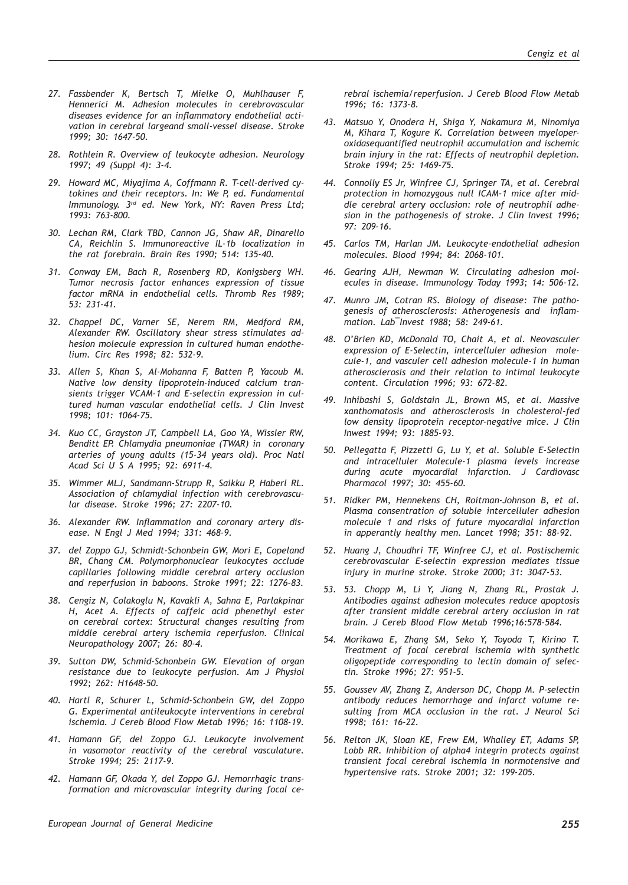- *27. Fassbender K, Bertsch T, Mielke O, Muhlhauser F, Hennerici M. Adhesion molecules in cerebrovascular diseases evidence for an inflammatory endothelial activation in cerebral largeand small-vessel disease. Stroke 1999; 30: 1647-50.*
- *28. Rothlein R. Overview of leukocyte adhesion. Neurology 1997; 49 (Suppl 4): 3-4.*
- *29. Howard MC, Miyajima A, Coffmann R. T-cell-derived cytokines and their receptors. In: We P, ed. Fundamental Immunology. 3rd ed. New York, NY: Raven Press Ltd; 1993: 763-800.*
- *30. Lechan RM, Clark TBD, Cannon JG, Shaw AR, Dinarello CA, Reichlin S. Immunoreactive IL-1b localization in the rat forebrain. Brain Res 1990; 514: 135-40.*
- *31. Conway EM, Bach R, Rosenberg RD, Konigsberg WH. Tumor necrosis factor enhances expression of tissue factor mRNA in endothelial cells. Thromb Res 1989; 53: 231-41.*
- *32. Chappel DC, Varner SE, Nerem RM, Medford RM, Alexander RW. Oscillatory shear stress stimulates adhesion molecule expression in cultured human endothelium. Circ Res 1998; 82: 532-9.*
- *33. Allen S, Khan S, Al-Mohanna F, Batten P, Yacoub M. Native low density lipoprotein-induced calcium transients trigger VCAM-1 and E-selectin expression in cultured human vascular endothelial cells. J Clin Invest 1998; 101: 1064-75.*
- *34. Kuo CC, Grayston JT, Campbell LA, Goo YA, Wissler RW, Benditt EP. Chlamydia pneumoniae (TWAR) in coronary arteries of young adults (15-34 years old). Proc Natl Acad Sci U S A 1995; 92: 6911-4.*
- *35. Wimmer MLJ, Sandmann-Strupp R, Saikku P, Haberl RL. Association of chlamydial infection with cerebrovascular disease. Stroke 1996; 27: 2207-10.*
- *36. Alexander RW. Inflammation and coronary artery disease. N Engl J Med 1994; 331: 468-9.*
- *37. del Zoppo GJ, Schmidt-Schonbein GW, Mori E, Copeland BR, Chang CM. Polymorphonuclear leukocytes occlude capillaries following middle cerebral artery occlusion and reperfusion in baboons. Stroke 1991; 22: 1276-83.*
- *38. Cengiz N, Colakoglu N, Kavakli A, Sahna E, Parlakpinar H, Acet A. Effects of caffeic acid phenethyl ester on cerebral cortex: Structural changes resulting from middle cerebral artery ischemia reperfusion. Clinical Neuropathology 2007; 26: 80-4.*
- *39. Sutton DW, Schmid-Schonbein GW. Elevation of organ resistance due to leukocyte perfusion. Am J Physiol 1992; 262: H1648-50.*
- *40. Hartl R, Schurer L, Schmid-Schonbein GW, del Zoppo G. Experimental antileukocyte interventions in cerebral ischemia. J Cereb Blood Flow Metab 1996; 16: 1108-19.*
- *41. Hamann GF, del Zoppo GJ. Leukocyte involvement in vasomotor reactivity of the cerebral vasculature. Stroke 1994; 25: 2117-9.*
- *42. Hamann GF, Okada Y, del Zoppo GJ. Hemorrhagic transformation and microvascular integrity during focal ce-*

*rebral ischemia/reperfusion. J Cereb Blood Flow Metab 1996; 16: 1373-8.*

- *43. Matsuo Y, Onodera H, Shiga Y, Nakamura M, Ninomiya M, Kihara T, Kogure K. Correlation between myeloperoxidasequantified neutrophil accumulation and ischemic brain injury in the rat: Effects of neutrophil depletion. Stroke 1994; 25: 1469-75.*
- *44. Connolly ES Jr, Winfree CJ, Springer TA, et al. Cerebral protection in homozygous null ICAM-1 mice after middle cerebral artery occlusion: role of neutrophil adhesion in the pathogenesis of stroke. J Clin Invest 1996; 97: 209-16.*
- *45. Carlos TM, Harlan JM. Leukocyte-endothelial adhesion molecules. Blood 1994; 84: 2068-101.*
- *46. Gearing AJH, Newman W. Circulating adhesion molecules in disease. Immunology Today 1993; 14: 506-12.*
- *47. Munro JM, Cotran RS. Biology of disease: The pathogenesis of atherosclerosis: Atherogenesis and inflammation. Lab¯Invest 1988; 58: 249-61.*
- *48. O'Brien KD, McDonald TO, Chait A, et al. Neovasculer expression of E-Selectin, intercelluler adhesion molecule-1, and vasculer cell adhesion molecule-1 in human atherosclerosis and their relation to intimal leukocyte content. Circulation 1996; 93: 672-82.*
- *49. Inhibashi S, Goldstain JL, Brown MS, et al. Massive xanthomatosis and atherosclerosis in cholesterol-fed low density lipoprotein receptor-negative mice. J Clin Inwest 1994; 93: 1885-93.*
- *50. Pellegatta F, Pizzetti G, Lu Y, et al. Soluble E-Selectin and intracelluler Molecule-1 plasma levels increase during acute myocardial infarction. J Cardiovasc Pharmacol 1997; 30: 455-60.*
- *51. Ridker PM, Hennekens CH, Roitman-Johnson B, et al. Plasma consentration of soluble intercelluler adhesion molecule 1 and risks of future myocardial infarction in apperantly healthy men. Lancet 1998; 351: 88-92.*
- *52. Huang J, Choudhri TF, Winfree CJ, et al. Postischemic cerebrovascular E-selectin expression mediates tissue injury in murine stroke. Stroke 2000; 31: 3047-53.*
- *53. 53. Chopp M, Li Y, Jiang N, Zhang RL, Prostak J. Antibodies against adhesion molecules reduce apoptosis after transient middle cerebral artery occlusion in rat brain. J Cereb Blood Flow Metab 1996;16:578-584.*
- *54. Morikawa E, Zhang SM, Seko Y, Toyoda T, Kirino T. Treatment of focal cerebral ischemia with synthetic oligopeptide corresponding to lectin domain of selectin. Stroke 1996; 27: 951-5.*
- *55. Goussev AV, Zhang Z, Anderson DC, Chopp M. P-selectin antibody reduces hemorrhage and infarct volume resulting from MCA occlusion in the rat. J Neurol Sci 1998; 161: 16-22.*
- *56. Relton JK, Sloan KE, Frew EM, Whalley ET, Adams SP, Lobb RR. Inhibition of alpha4 integrin protects against transient focal cerebral ischemia in normotensive and hypertensive rats. Stroke 2001; 32: 199-205.*